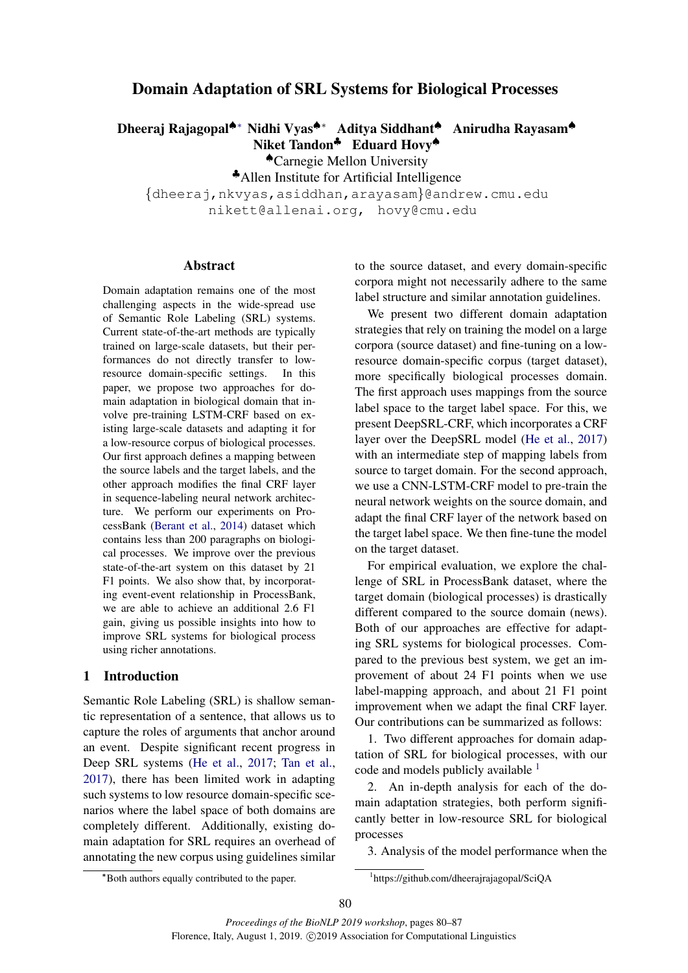# Domain Adaptation of SRL Systems for Biological Processes

Dheeraj Rajagopal♠∗ Nidhi Vyas♠∗ Aditya Siddhant♠ Anirudha Rayasam♠ Niket Tandon<sup>♣</sup> Eduard Hovy<sup>♦</sup>

♠Carnegie Mellon University

♣Allen Institute for Artificial Intelligence

{dheeraj,nkvyas,asiddhan,arayasam}@andrew.cmu.edu nikett@allenai.org, hovy@cmu.edu

#### Abstract

Domain adaptation remains one of the most challenging aspects in the wide-spread use of Semantic Role Labeling (SRL) systems. Current state-of-the-art methods are typically trained on large-scale datasets, but their performances do not directly transfer to lowresource domain-specific settings. In this paper, we propose two approaches for domain adaptation in biological domain that involve pre-training LSTM-CRF based on existing large-scale datasets and adapting it for a low-resource corpus of biological processes. Our first approach defines a mapping between the source labels and the target labels, and the other approach modifies the final CRF layer in sequence-labeling neural network architecture. We perform our experiments on ProcessBank [\(Berant et al.,](#page-4-0) [2014\)](#page-4-0) dataset which contains less than 200 paragraphs on biological processes. We improve over the previous state-of-the-art system on this dataset by 21 F1 points. We also show that, by incorporating event-event relationship in ProcessBank, we are able to achieve an additional 2.6 F1 gain, giving us possible insights into how to improve SRL systems for biological process using richer annotations.

#### 1 Introduction

Semantic Role Labeling (SRL) is shallow semantic representation of a sentence, that allows us to capture the roles of arguments that anchor around an event. Despite significant recent progress in Deep SRL systems [\(He et al.,](#page-4-1) [2017;](#page-4-1) [Tan et al.,](#page-5-0) [2017\)](#page-5-0), there has been limited work in adapting such systems to low resource domain-specific scenarios where the label space of both domains are completely different. Additionally, existing domain adaptation for SRL requires an overhead of annotating the new corpus using guidelines similar to the source dataset, and every domain-specific corpora might not necessarily adhere to the same label structure and similar annotation guidelines.

We present two different domain adaptation strategies that rely on training the model on a large corpora (source dataset) and fine-tuning on a lowresource domain-specific corpus (target dataset), more specifically biological processes domain. The first approach uses mappings from the source label space to the target label space. For this, we present DeepSRL-CRF, which incorporates a CRF layer over the DeepSRL model [\(He et al.,](#page-4-1) [2017\)](#page-4-1) with an intermediate step of mapping labels from source to target domain. For the second approach, we use a CNN-LSTM-CRF model to pre-train the neural network weights on the source domain, and adapt the final CRF layer of the network based on the target label space. We then fine-tune the model on the target dataset.

For empirical evaluation, we explore the challenge of SRL in ProcessBank dataset, where the target domain (biological processes) is drastically different compared to the source domain (news). Both of our approaches are effective for adapting SRL systems for biological processes. Compared to the previous best system, we get an improvement of about 24 F1 points when we use label-mapping approach, and about 21 F1 point improvement when we adapt the final CRF layer. Our contributions can be summarized as follows:

1. Two different approaches for domain adaptation of SRL for biological processes, with our code and models publicly available  $<sup>1</sup>$  $<sup>1</sup>$  $<sup>1</sup>$ </sup>

2. An in-depth analysis for each of the domain adaptation strategies, both perform significantly better in low-resource SRL for biological processes

3. Analysis of the model performance when the

<span id="page-0-0"></span>1 https://github.com/dheerajrajagopal/SciQA

<sup>∗</sup>Both authors equally contributed to the paper.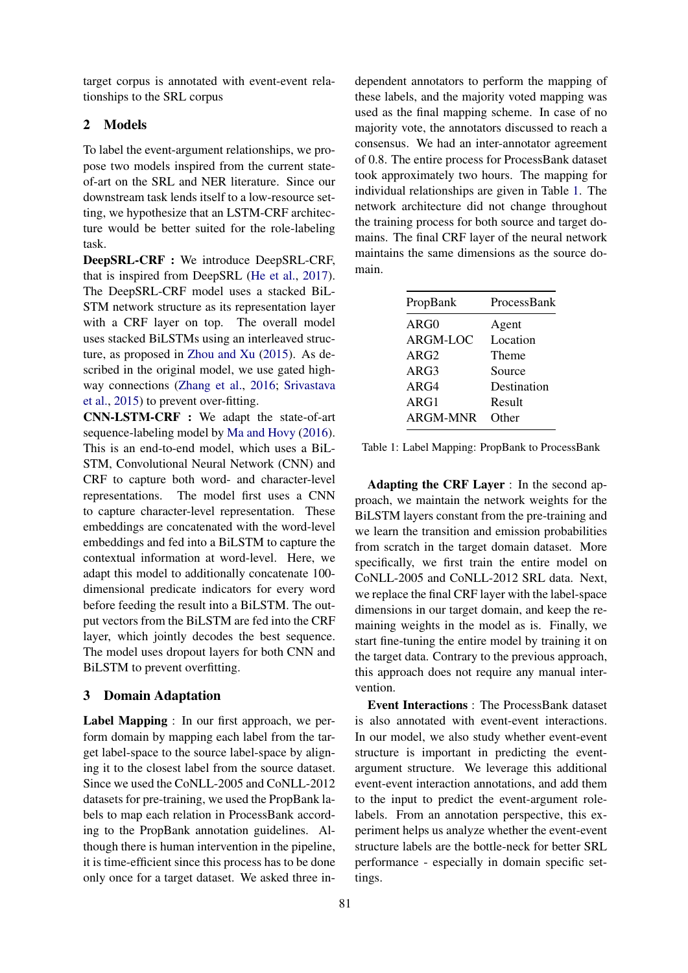target corpus is annotated with event-event relationships to the SRL corpus

## 2 Models

To label the event-argument relationships, we propose two models inspired from the current stateof-art on the SRL and NER literature. Since our downstream task lends itself to a low-resource setting, we hypothesize that an LSTM-CRF architecture would be better suited for the role-labeling task.

DeepSRL-CRF : We introduce DeepSRL-CRF, that is inspired from DeepSRL [\(He et al.,](#page-4-1) [2017\)](#page-4-1). The DeepSRL-CRF model uses a stacked BiL-STM network structure as its representation layer with a CRF layer on top. The overall model uses stacked BiLSTMs using an interleaved structure, as proposed in [Zhou and Xu](#page-5-1) [\(2015\)](#page-5-1). As described in the original model, we use gated highway connections [\(Zhang et al.,](#page-5-2) [2016;](#page-5-2) [Srivastava](#page-5-3) [et al.,](#page-5-3) [2015\)](#page-5-3) to prevent over-fitting.

CNN-LSTM-CRF : We adapt the state-of-art sequence-labeling model by [Ma and Hovy](#page-5-4) [\(2016\)](#page-5-4). This is an end-to-end model, which uses a BiL-STM, Convolutional Neural Network (CNN) and CRF to capture both word- and character-level representations. The model first uses a CNN to capture character-level representation. These embeddings are concatenated with the word-level embeddings and fed into a BiLSTM to capture the contextual information at word-level. Here, we adapt this model to additionally concatenate 100 dimensional predicate indicators for every word before feeding the result into a BiLSTM. The output vectors from the BiLSTM are fed into the CRF layer, which jointly decodes the best sequence. The model uses dropout layers for both CNN and BiLSTM to prevent overfitting.

## 3 Domain Adaptation

Label Mapping : In our first approach, we perform domain by mapping each label from the target label-space to the source label-space by aligning it to the closest label from the source dataset. Since we used the CoNLL-2005 and CoNLL-2012 datasets for pre-training, we used the PropBank labels to map each relation in ProcessBank according to the PropBank annotation guidelines. Although there is human intervention in the pipeline, it is time-efficient since this process has to be done only once for a target dataset. We asked three in-

dependent annotators to perform the mapping of these labels, and the majority voted mapping was used as the final mapping scheme. In case of no majority vote, the annotators discussed to reach a consensus. We had an inter-annotator agreement of 0.8. The entire process for ProcessBank dataset took approximately two hours. The mapping for individual relationships are given in Table [1.](#page-1-0) The network architecture did not change throughout the training process for both source and target domains. The final CRF layer of the neural network maintains the same dimensions as the source domain.

<span id="page-1-0"></span>

| PropBank | ProcessBank  |
|----------|--------------|
| ARG0     | Agent        |
| ARGM-LOC | Location     |
| ARG2     | Theme        |
| ARG3     | Source       |
| ARG4     | Destination  |
| ARG1     | Result       |
| ARGM-MNR | <b>Other</b> |
|          |              |

Table 1: Label Mapping: PropBank to ProcessBank

Adapting the CRF Layer : In the second approach, we maintain the network weights for the BiLSTM layers constant from the pre-training and we learn the transition and emission probabilities from scratch in the target domain dataset. More specifically, we first train the entire model on CoNLL-2005 and CoNLL-2012 SRL data. Next, we replace the final CRF layer with the label-space dimensions in our target domain, and keep the remaining weights in the model as is. Finally, we start fine-tuning the entire model by training it on the target data. Contrary to the previous approach, this approach does not require any manual intervention.

Event Interactions : The ProcessBank dataset is also annotated with event-event interactions. In our model, we also study whether event-event structure is important in predicting the eventargument structure. We leverage this additional event-event interaction annotations, and add them to the input to predict the event-argument rolelabels. From an annotation perspective, this experiment helps us analyze whether the event-event structure labels are the bottle-neck for better SRL performance - especially in domain specific settings.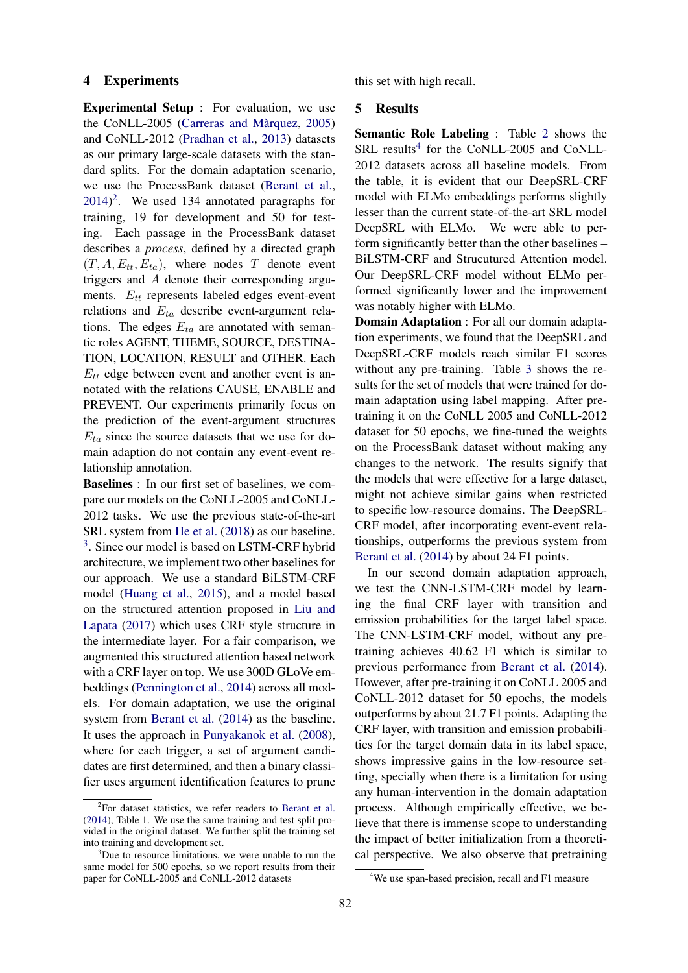#### 4 Experiments

Experimental Setup : For evaluation, we use the CoNLL-2005 (Carreras and Màrquez,  $2005$ ) and CoNLL-2012 [\(Pradhan et al.,](#page-5-5) [2013\)](#page-5-5) datasets as our primary large-scale datasets with the standard splits. For the domain adaptation scenario, we use the ProcessBank dataset [\(Berant et al.,](#page-4-0)  $2014$  $2014$ <sup>2</sup>. We used 134 annotated paragraphs for training, 19 for development and 50 for testing. Each passage in the ProcessBank dataset describes a *process*, defined by a directed graph  $(T, A, E_{tt}, E_{ta})$ , where nodes T denote event triggers and A denote their corresponding arguments.  $E_{tt}$  represents labeled edges event-event relations and  $E_{ta}$  describe event-argument relations. The edges  $E_{ta}$  are annotated with semantic roles AGENT, THEME, SOURCE, DESTINA-TION, LOCATION, RESULT and OTHER. Each  $E_{tt}$  edge between event and another event is annotated with the relations CAUSE, ENABLE and PREVENT. Our experiments primarily focus on the prediction of the event-argument structures  $E_{ta}$  since the source datasets that we use for domain adaption do not contain any event-event relationship annotation.

Baselines : In our first set of baselines, we compare our models on the CoNLL-2005 and CoNLL-2012 tasks. We use the previous state-of-the-art SRL system from [He et al.](#page-4-3) [\(2018\)](#page-4-3) as our baseline. <sup>[3](#page-2-1)</sup>. Since our model is based on LSTM-CRF hybrid architecture, we implement two other baselines for our approach. We use a standard BiLSTM-CRF model [\(Huang et al.,](#page-4-4) [2015\)](#page-4-4), and a model based on the structured attention proposed in [Liu and](#page-5-6) [Lapata](#page-5-6) [\(2017\)](#page-5-6) which uses CRF style structure in the intermediate layer. For a fair comparison, we augmented this structured attention based network with a CRF layer on top. We use 300D GLoVe embeddings [\(Pennington et al.,](#page-5-7) [2014\)](#page-5-7) across all models. For domain adaptation, we use the original system from [Berant et al.](#page-4-0) [\(2014\)](#page-4-0) as the baseline. It uses the approach in [Punyakanok et al.](#page-5-8) [\(2008\)](#page-5-8), where for each trigger, a set of argument candidates are first determined, and then a binary classifier uses argument identification features to prune this set with high recall.

### 5 Results

Semantic Role Labeling : Table [2](#page-3-0) shows the SRL results<sup>[4](#page-2-2)</sup> for the CoNLL-2005 and CoNLL-2012 datasets across all baseline models. From the table, it is evident that our DeepSRL-CRF model with ELMo embeddings performs slightly lesser than the current state-of-the-art SRL model DeepSRL with ELMo. We were able to perform significantly better than the other baselines – BiLSTM-CRF and Strucutured Attention model. Our DeepSRL-CRF model without ELMo performed significantly lower and the improvement was notably higher with ELMo.

Domain Adaptation : For all our domain adaptation experiments, we found that the DeepSRL and DeepSRL-CRF models reach similar F1 scores without any pre-training. Table [3](#page-3-1) shows the results for the set of models that were trained for domain adaptation using label mapping. After pretraining it on the CoNLL 2005 and CoNLL-2012 dataset for 50 epochs, we fine-tuned the weights on the ProcessBank dataset without making any changes to the network. The results signify that the models that were effective for a large dataset, might not achieve similar gains when restricted to specific low-resource domains. The DeepSRL-CRF model, after incorporating event-event relationships, outperforms the previous system from [Berant et al.](#page-4-0) [\(2014\)](#page-4-0) by about 24 F1 points.

In our second domain adaptation approach, we test the CNN-LSTM-CRF model by learning the final CRF layer with transition and emission probabilities for the target label space. The CNN-LSTM-CRF model, without any pretraining achieves 40.62 F1 which is similar to previous performance from [Berant et al.](#page-4-0) [\(2014\)](#page-4-0). However, after pre-training it on CoNLL 2005 and CoNLL-2012 dataset for 50 epochs, the models outperforms by about 21.7 F1 points. Adapting the CRF layer, with transition and emission probabilities for the target domain data in its label space, shows impressive gains in the low-resource setting, specially when there is a limitation for using any human-intervention in the domain adaptation process. Although empirically effective, we believe that there is immense scope to understanding the impact of better initialization from a theoretical perspective. We also observe that pretraining

<span id="page-2-0"></span><sup>&</sup>lt;sup>2</sup>For dataset statistics, we refer readers to [Berant et al.](#page-4-0) [\(2014\)](#page-4-0), Table 1. We use the same training and test split provided in the original dataset. We further split the training set into training and development set.

<span id="page-2-1"></span><sup>&</sup>lt;sup>3</sup>Due to resource limitations, we were unable to run the same model for 500 epochs, so we report results from their paper for CoNLL-2005 and CoNLL-2012 datasets

<span id="page-2-2"></span><sup>&</sup>lt;sup>4</sup>We use span-based precision, recall and F1 measure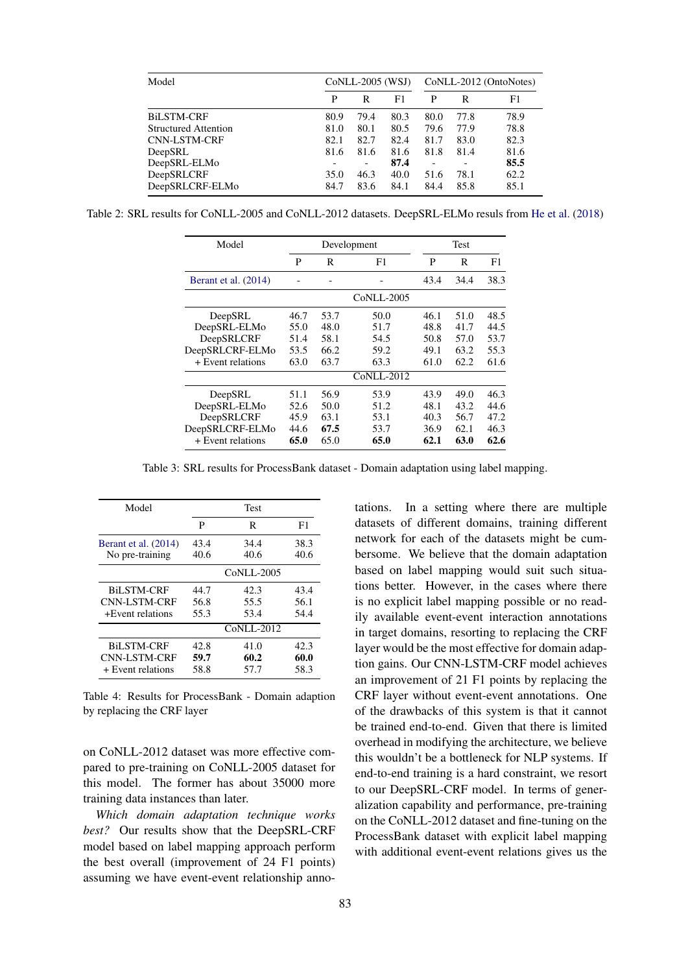<span id="page-3-0"></span>

| Model                | CoNLL-2005 (WSJ) |                          |      | CoNLL-2012 (OntoNotes) |      |      |
|----------------------|------------------|--------------------------|------|------------------------|------|------|
|                      | P                | R                        | F1   | P                      | R    | F1   |
| <b>BILSTM-CRF</b>    | 80.9             | 79.4                     | 80.3 | 80.0                   | 77.8 | 78.9 |
| Structured Attention | 81.0             | 80.1                     | 80.5 | 79.6                   | 77.9 | 78.8 |
| <b>CNN-LSTM-CRF</b>  | 82.1             | 82.7                     | 82.4 | 81.7                   | 83.0 | 82.3 |
| DeepSRL              | 81.6             | 81.6                     | 81.6 | 81.8                   | 81.4 | 81.6 |
| DeepSRL-ELMo         |                  | $\overline{\phantom{a}}$ | 87.4 |                        |      | 85.5 |
| DeepSRLCRF           | 35.0             | 46.3                     | 40.0 | 51.6                   | 78.1 | 62.2 |
| DeepSRLCRF-ELMo      | 84.7             | 83.6                     | 84.1 | 84.4                   | 85.8 | 85.1 |

<span id="page-3-1"></span>Table 2: SRL results for CoNLL-2005 and CoNLL-2012 datasets. DeepSRL-ELMo resuls from [He et al.](#page-4-3) [\(2018\)](#page-4-3)

| Model                | Development |      |            | Test |      |      |
|----------------------|-------------|------|------------|------|------|------|
|                      | P           | R    | F1         | P    | R    | F1   |
| Berant et al. (2014) |             |      |            | 43.4 | 34.4 | 38.3 |
|                      |             |      | CoNLL-2005 |      |      |      |
| DeepSRL              | 46.7        | 53.7 | 50.0       | 46.1 | 51.0 | 48.5 |
| DeepSRL-ELMo         | 55.0        | 48.0 | 51.7       | 48.8 | 41.7 | 44.5 |
| DeepSRLCRF           | 51.4        | 58.1 | 54.5       | 50.8 | 57.0 | 53.7 |
| DeepSRLCRF-ELMo      | 53.5        | 66.2 | 59.2       | 49.1 | 63.2 | 55.3 |
| + Event relations    | 63.0        | 63.7 | 63.3       | 61.0 | 62.2 | 61.6 |
|                      |             |      | CoNLL-2012 |      |      |      |
| DeepSRL              | 51.1        | 56.9 | 53.9       | 43.9 | 49.0 | 46.3 |
| DeepSRL-ELMo         | 52.6        | 50.0 | 51.2       | 48.1 | 43.2 | 44.6 |
| DeepSRLCRF<br>45.9   |             | 63.1 | 53.1       | 40.3 | 56.7 | 47.2 |
| DeepSRLCRF-ELMo      | 44.6        | 67.5 | 53.7       | 36.9 | 62.1 | 46.3 |
| + Event relations    | 65.0        | 65.0 | 65.0       | 62.1 | 63.0 | 62.6 |

Table 3: SRL results for ProcessBank dataset - Domain adaptation using label mapping.

| Model                | <b>Test</b> |                   |      |  |  |
|----------------------|-------------|-------------------|------|--|--|
|                      | P           | R                 | F1   |  |  |
| Berant et al. (2014) | 43.4        | 34.4              | 38.3 |  |  |
| No pre-training      | 40.6        | 40.6              | 40.6 |  |  |
|                      |             | <b>CoNLL-2005</b> |      |  |  |
| <b>BiLSTM-CRF</b>    | 44.7        | 42.3              | 43.4 |  |  |
| CNN-LSTM-CRF         | 56.8        | 55.5              | 56.1 |  |  |
| +Event relations     | 55.3        | 53.4              | 54.4 |  |  |
|                      |             | $CoNLL-2012$      |      |  |  |
| <b>BiLSTM-CRF</b>    | 42.8        | 41.0              | 42.3 |  |  |
| CNN-LSTM-CRF         | 59.7        | 60.2              | 60.0 |  |  |
| + Event relations    | 58.8        | 57.7              | 58.3 |  |  |

Table 4: Results for ProcessBank - Domain adaption by replacing the CRF layer

on CoNLL-2012 dataset was more effective compared to pre-training on CoNLL-2005 dataset for this model. The former has about 35000 more training data instances than later.

*Which domain adaptation technique works best?* Our results show that the DeepSRL-CRF model based on label mapping approach perform the best overall (improvement of 24 F1 points) assuming we have event-event relationship annotations. In a setting where there are multiple datasets of different domains, training different network for each of the datasets might be cumbersome. We believe that the domain adaptation based on label mapping would suit such situations better. However, in the cases where there is no explicit label mapping possible or no readily available event-event interaction annotations in target domains, resorting to replacing the CRF layer would be the most effective for domain adaption gains. Our CNN-LSTM-CRF model achieves an improvement of 21 F1 points by replacing the CRF layer without event-event annotations. One of the drawbacks of this system is that it cannot be trained end-to-end. Given that there is limited overhead in modifying the architecture, we believe this wouldn't be a bottleneck for NLP systems. If end-to-end training is a hard constraint, we resort to our DeepSRL-CRF model. In terms of generalization capability and performance, pre-training on the CoNLL-2012 dataset and fine-tuning on the ProcessBank dataset with explicit label mapping with additional event-event relations gives us the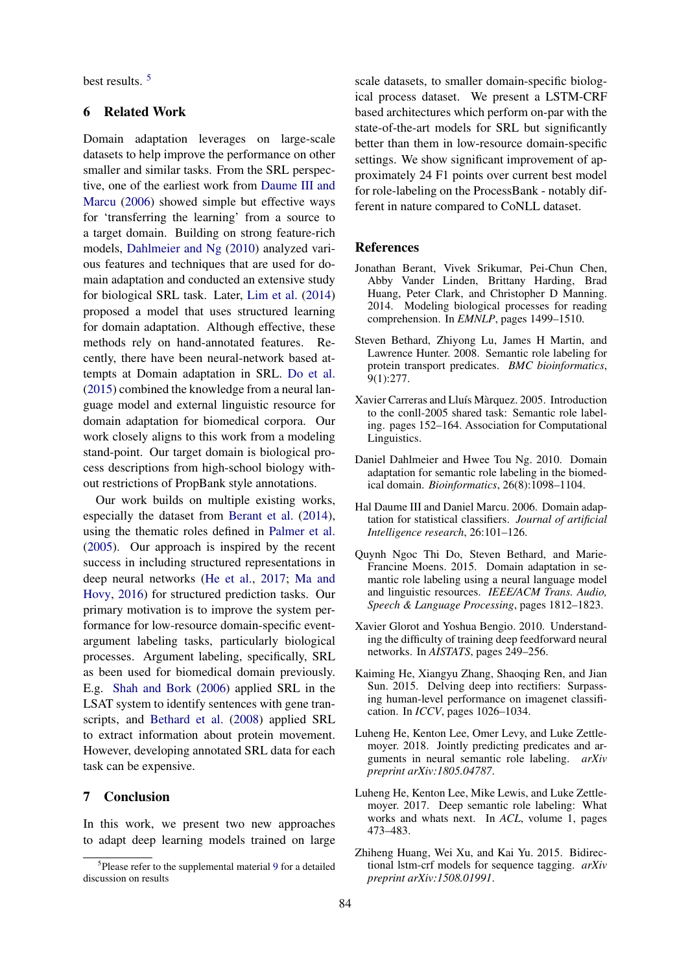best results. [5](#page-4-5)

### 6 Related Work

Domain adaptation leverages on large-scale datasets to help improve the performance on other smaller and similar tasks. From the SRL perspective, one of the earliest work from [Daume III and](#page-4-6) [Marcu](#page-4-6) [\(2006\)](#page-4-6) showed simple but effective ways for 'transferring the learning' from a source to a target domain. Building on strong feature-rich models, [Dahlmeier and Ng](#page-4-7) [\(2010\)](#page-4-7) analyzed various features and techniques that are used for domain adaptation and conducted an extensive study for biological SRL task. Later, [Lim et al.](#page-5-9) [\(2014\)](#page-5-9) proposed a model that uses structured learning for domain adaptation. Although effective, these methods rely on hand-annotated features. Recently, there have been neural-network based attempts at Domain adaptation in SRL. [Do et al.](#page-4-8) [\(2015\)](#page-4-8) combined the knowledge from a neural language model and external linguistic resource for domain adaptation for biomedical corpora. Our work closely aligns to this work from a modeling stand-point. Our target domain is biological process descriptions from high-school biology without restrictions of PropBank style annotations.

Our work builds on multiple existing works, especially the dataset from [Berant et al.](#page-4-0) [\(2014\)](#page-4-0), using the thematic roles defined in [Palmer et al.](#page-5-10) [\(2005\)](#page-5-10). Our approach is inspired by the recent success in including structured representations in deep neural networks [\(He et al.,](#page-4-1) [2017;](#page-4-1) [Ma and](#page-5-4) [Hovy,](#page-5-4) [2016\)](#page-5-4) for structured prediction tasks. Our primary motivation is to improve the system performance for low-resource domain-specific eventargument labeling tasks, particularly biological processes. Argument labeling, specifically, SRL as been used for biomedical domain previously. E.g. [Shah and Bork](#page-5-11) [\(2006\)](#page-5-11) applied SRL in the LSAT system to identify sentences with gene transcripts, and [Bethard et al.](#page-4-9) [\(2008\)](#page-4-9) applied SRL to extract information about protein movement. However, developing annotated SRL data for each task can be expensive.

### 7 Conclusion

In this work, we present two new approaches to adapt deep learning models trained on large scale datasets, to smaller domain-specific biological process dataset. We present a LSTM-CRF based architectures which perform on-par with the state-of-the-art models for SRL but significantly better than them in low-resource domain-specific settings. We show significant improvement of approximately 24 F1 points over current best model for role-labeling on the ProcessBank - notably different in nature compared to CoNLL dataset.

## References

- <span id="page-4-0"></span>Jonathan Berant, Vivek Srikumar, Pei-Chun Chen, Abby Vander Linden, Brittany Harding, Brad Huang, Peter Clark, and Christopher D Manning. 2014. Modeling biological processes for reading comprehension. In *EMNLP*, pages 1499–1510.
- <span id="page-4-9"></span>Steven Bethard, Zhiyong Lu, James H Martin, and Lawrence Hunter. 2008. Semantic role labeling for protein transport predicates. *BMC bioinformatics*, 9(1):277.
- <span id="page-4-2"></span>Xavier Carreras and Lluís Màrquez. 2005. Introduction to the conll-2005 shared task: Semantic role labeling. pages 152–164. Association for Computational Linguistics.
- <span id="page-4-7"></span>Daniel Dahlmeier and Hwee Tou Ng. 2010. Domain adaptation for semantic role labeling in the biomedical domain. *Bioinformatics*, 26(8):1098–1104.
- <span id="page-4-6"></span>Hal Daume III and Daniel Marcu. 2006. Domain adaptation for statistical classifiers. *Journal of artificial Intelligence research*, 26:101–126.
- <span id="page-4-8"></span>Quynh Ngoc Thi Do, Steven Bethard, and Marie-Francine Moens. 2015. Domain adaptation in semantic role labeling using a neural language model and linguistic resources. *IEEE/ACM Trans. Audio, Speech & Language Processing*, pages 1812–1823.
- <span id="page-4-11"></span>Xavier Glorot and Yoshua Bengio. 2010. Understanding the difficulty of training deep feedforward neural networks. In *AISTATS*, pages 249–256.
- <span id="page-4-10"></span>Kaiming He, Xiangyu Zhang, Shaoqing Ren, and Jian Sun. 2015. Delving deep into rectifiers: Surpassing human-level performance on imagenet classification. In *ICCV*, pages 1026–1034.
- <span id="page-4-3"></span>Luheng He, Kenton Lee, Omer Levy, and Luke Zettlemover. 2018. Jointly predicting predicates and arguments in neural semantic role labeling. *arXiv preprint arXiv:1805.04787*.
- <span id="page-4-1"></span>Luheng He, Kenton Lee, Mike Lewis, and Luke Zettlemoyer. 2017. Deep semantic role labeling: What works and whats next. In *ACL*, volume 1, pages 473–483.
- <span id="page-4-4"></span>Zhiheng Huang, Wei Xu, and Kai Yu. 2015. Bidirectional lstm-crf models for sequence tagging. *arXiv preprint arXiv:1508.01991*.

<span id="page-4-5"></span><sup>&</sup>lt;sup>5</sup>Please refer to the supplemental material [9](#page-5-12) for a detailed discussion on results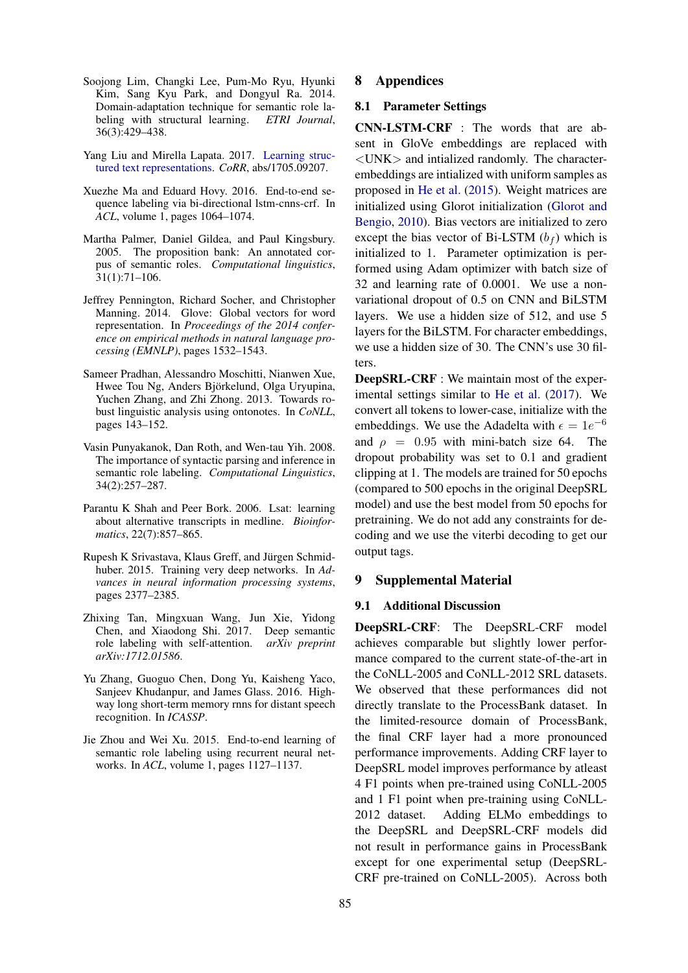- <span id="page-5-9"></span>Soojong Lim, Changki Lee, Pum-Mo Ryu, Hyunki Kim, Sang Kyu Park, and Dongyul Ra. 2014. Domain-adaptation technique for semantic role labeling with structural learning. *ETRI Journal*, 36(3):429–438.
- <span id="page-5-6"></span>Yang Liu and Mirella Lapata. 2017. [Learning struc](http://arxiv.org/abs/1705.09207)[tured text representations.](http://arxiv.org/abs/1705.09207) *CoRR*, abs/1705.09207.
- <span id="page-5-4"></span>Xuezhe Ma and Eduard Hovy. 2016. End-to-end sequence labeling via bi-directional lstm-cnns-crf. In *ACL*, volume 1, pages 1064–1074.
- <span id="page-5-10"></span>Martha Palmer, Daniel Gildea, and Paul Kingsbury. 2005. The proposition bank: An annotated corpus of semantic roles. *Computational linguistics*, 31(1):71–106.
- <span id="page-5-7"></span>Jeffrey Pennington, Richard Socher, and Christopher Manning. 2014. Glove: Global vectors for word representation. In *Proceedings of the 2014 conference on empirical methods in natural language processing (EMNLP)*, pages 1532–1543.
- <span id="page-5-5"></span>Sameer Pradhan, Alessandro Moschitti, Nianwen Xue, Hwee Tou Ng, Anders Björkelund, Olga Uryupina, Yuchen Zhang, and Zhi Zhong. 2013. Towards robust linguistic analysis using ontonotes. In *CoNLL*, pages 143–152.
- <span id="page-5-8"></span>Vasin Punyakanok, Dan Roth, and Wen-tau Yih. 2008. The importance of syntactic parsing and inference in semantic role labeling. *Computational Linguistics*, 34(2):257–287.
- <span id="page-5-11"></span>Parantu K Shah and Peer Bork. 2006. Lsat: learning about alternative transcripts in medline. *Bioinformatics*, 22(7):857–865.
- <span id="page-5-3"></span>Rupesh K Srivastava, Klaus Greff, and Jürgen Schmidhuber. 2015. Training very deep networks. In *Advances in neural information processing systems*, pages 2377–2385.
- <span id="page-5-0"></span>Zhixing Tan, Mingxuan Wang, Jun Xie, Yidong Chen, and Xiaodong Shi. 2017. Deep semantic role labeling with self-attention. *arXiv preprint arXiv:1712.01586*.
- <span id="page-5-2"></span>Yu Zhang, Guoguo Chen, Dong Yu, Kaisheng Yaco, Sanjeev Khudanpur, and James Glass. 2016. Highway long short-term memory rnns for distant speech recognition. In *ICASSP*.
- <span id="page-5-1"></span>Jie Zhou and Wei Xu. 2015. End-to-end learning of semantic role labeling using recurrent neural networks. In *ACL*, volume 1, pages 1127–1137.

#### 8 Appendices

### 8.1 Parameter Settings

CNN-LSTM-CRF : The words that are absent in GloVe embeddings are replaced with <UNK> and intialized randomly. The characterembeddings are intialized with uniform samples as proposed in [He et al.](#page-4-10) [\(2015\)](#page-4-10). Weight matrices are initialized using Glorot initialization [\(Glorot and](#page-4-11) [Bengio,](#page-4-11) [2010\)](#page-4-11). Bias vectors are initialized to zero except the bias vector of Bi-LSTM  $(b_f)$  which is initialized to 1. Parameter optimization is performed using Adam optimizer with batch size of 32 and learning rate of 0.0001. We use a nonvariational dropout of 0.5 on CNN and BiLSTM layers. We use a hidden size of 512, and use 5 layers for the BiLSTM. For character embeddings, we use a hidden size of 30. The CNN's use 30 filters.

DeepSRL-CRF : We maintain most of the experimental settings similar to [He et al.](#page-4-1) [\(2017\)](#page-4-1). We convert all tokens to lower-case, initialize with the embeddings. We use the Adadelta with  $\epsilon = 1e^{-6}$ and  $\rho = 0.95$  with mini-batch size 64. The dropout probability was set to 0.1 and gradient clipping at 1. The models are trained for 50 epochs (compared to 500 epochs in the original DeepSRL model) and use the best model from 50 epochs for pretraining. We do not add any constraints for decoding and we use the viterbi decoding to get our output tags.

#### <span id="page-5-12"></span>9 Supplemental Material

#### 9.1 Additional Discussion

DeepSRL-CRF: The DeepSRL-CRF model achieves comparable but slightly lower performance compared to the current state-of-the-art in the CoNLL-2005 and CoNLL-2012 SRL datasets. We observed that these performances did not directly translate to the ProcessBank dataset. In the limited-resource domain of ProcessBank, the final CRF layer had a more pronounced performance improvements. Adding CRF layer to DeepSRL model improves performance by atleast 4 F1 points when pre-trained using CoNLL-2005 and 1 F1 point when pre-training using CoNLL-2012 dataset. Adding ELMo embeddings to the DeepSRL and DeepSRL-CRF models did not result in performance gains in ProcessBank except for one experimental setup (DeepSRL-CRF pre-trained on CoNLL-2005). Across both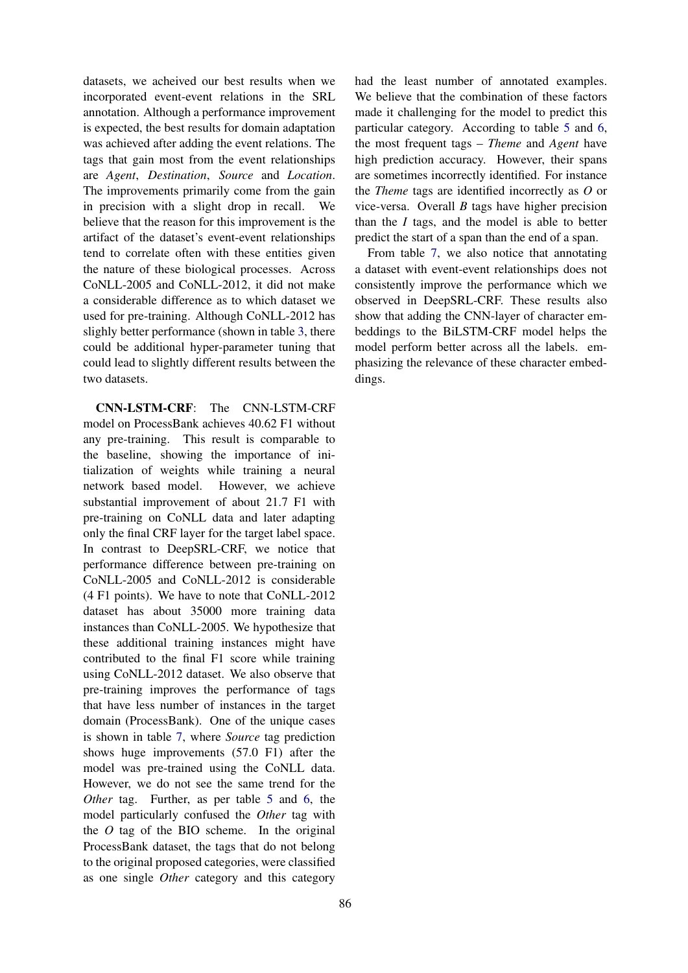datasets, we acheived our best results when we incorporated event-event relations in the SRL annotation. Although a performance improvement is expected, the best results for domain adaptation was achieved after adding the event relations. The tags that gain most from the event relationships are *Agent*, *Destination*, *Source* and *Location*. The improvements primarily come from the gain in precision with a slight drop in recall. We believe that the reason for this improvement is the artifact of the dataset's event-event relationships tend to correlate often with these entities given the nature of these biological processes. Across CoNLL-2005 and CoNLL-2012, it did not make a considerable difference as to which dataset we used for pre-training. Although CoNLL-2012 has slighly better performance (shown in table [3,](#page-3-1) there could be additional hyper-parameter tuning that could lead to slightly different results between the two datasets.

CNN-LSTM-CRF: The CNN-LSTM-CRF model on ProcessBank achieves 40.62 F1 without any pre-training. This result is comparable to the baseline, showing the importance of initialization of weights while training a neural network based model. However, we achieve substantial improvement of about 21.7 F1 with pre-training on CoNLL data and later adapting only the final CRF layer for the target label space. In contrast to DeepSRL-CRF, we notice that performance difference between pre-training on CoNLL-2005 and CoNLL-2012 is considerable (4 F1 points). We have to note that CoNLL-2012 dataset has about 35000 more training data instances than CoNLL-2005. We hypothesize that these additional training instances might have contributed to the final F1 score while training using CoNLL-2012 dataset. We also observe that pre-training improves the performance of tags that have less number of instances in the target domain (ProcessBank). One of the unique cases is shown in table [7,](#page-7-0) where *Source* tag prediction shows huge improvements (57.0 F1) after the model was pre-trained using the CoNLL data. However, we do not see the same trend for the *Other* tag. Further, as per table [5](#page-7-1) and [6,](#page-7-2) the model particularly confused the *Other* tag with the *O* tag of the BIO scheme. In the original ProcessBank dataset, the tags that do not belong to the original proposed categories, were classified as one single *Other* category and this category had the least number of annotated examples. We believe that the combination of these factors made it challenging for the model to predict this particular category. According to table [5](#page-7-1) and [6,](#page-7-2) the most frequent tags – *Theme* and *Agent* have high prediction accuracy. However, their spans are sometimes incorrectly identified. For instance the *Theme* tags are identified incorrectly as *O* or vice-versa. Overall *B* tags have higher precision than the *I* tags, and the model is able to better predict the start of a span than the end of a span.

From table [7,](#page-7-0) we also notice that annotating a dataset with event-event relationships does not consistently improve the performance which we observed in DeepSRL-CRF. These results also show that adding the CNN-layer of character embeddings to the BiLSTM-CRF model helps the model perform better across all the labels. emphasizing the relevance of these character embeddings.